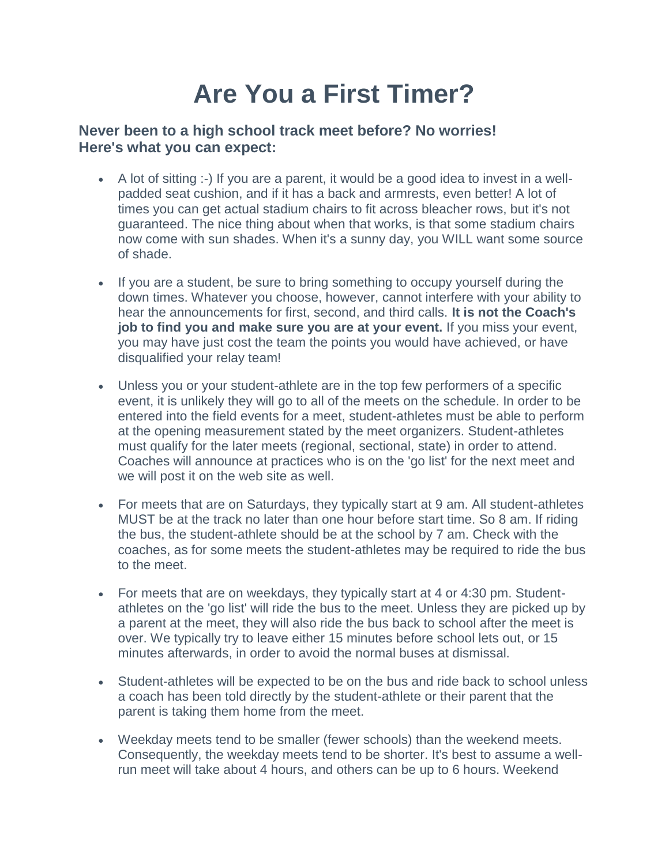## **Are You a First Timer?**

## **Never been to a high school track meet before? No worries! Here's what you can expect:**

- A lot of sitting :-) If you are a parent, it would be a good idea to invest in a wellpadded seat cushion, and if it has a back and armrests, even better! A lot of times you can get actual stadium chairs to fit across bleacher rows, but it's not guaranteed. The nice thing about when that works, is that some stadium chairs now come with sun shades. When it's a sunny day, you WILL want some source of shade.
- If you are a student, be sure to bring something to occupy yourself during the down times. Whatever you choose, however, cannot interfere with your ability to hear the announcements for first, second, and third calls. **It is not the Coach's job to find you and make sure you are at your event.** If you miss your event, you may have just cost the team the points you would have achieved, or have disqualified your relay team!
- Unless you or your student-athlete are in the top few performers of a specific event, it is unlikely they will go to all of the meets on the schedule. In order to be entered into the field events for a meet, student-athletes must be able to perform at the opening measurement stated by the meet organizers. Student-athletes must qualify for the later meets (regional, sectional, state) in order to attend. Coaches will announce at practices who is on the 'go list' for the next meet and we will post it on the web site as well.
- For meets that are on Saturdays, they typically start at 9 am. All student-athletes MUST be at the track no later than one hour before start time. So 8 am. If riding the bus, the student-athlete should be at the school by 7 am. Check with the coaches, as for some meets the student-athletes may be required to ride the bus to the meet.
- For meets that are on weekdays, they typically start at 4 or 4:30 pm. Studentathletes on the 'go list' will ride the bus to the meet. Unless they are picked up by a parent at the meet, they will also ride the bus back to school after the meet is over. We typically try to leave either 15 minutes before school lets out, or 15 minutes afterwards, in order to avoid the normal buses at dismissal.
- Student-athletes will be expected to be on the bus and ride back to school unless a coach has been told directly by the student-athlete or their parent that the parent is taking them home from the meet.
- Weekday meets tend to be smaller (fewer schools) than the weekend meets. Consequently, the weekday meets tend to be shorter. It's best to assume a wellrun meet will take about 4 hours, and others can be up to 6 hours. Weekend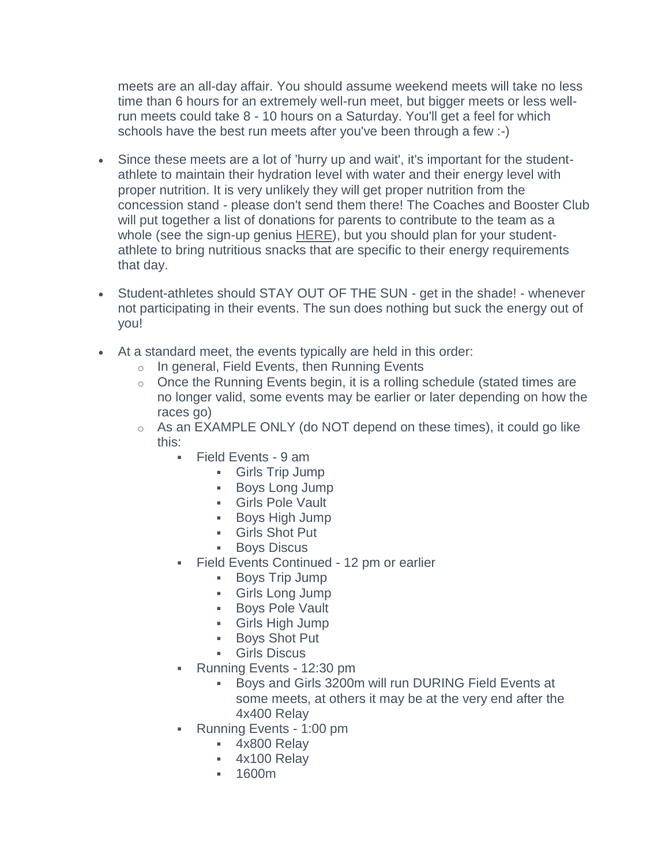meets are an all-day affair. You should assume weekend meets will take no less time than 6 hours for an extremely well-run meet, but bigger meets or less wellrun meets could take 8 - 10 hours on a Saturday. You'll get a feel for which schools have the best run meets after you've been through a few :-)

- Since these meets are a lot of 'hurry up and wait', it's important for the studentathlete to maintain their hydration level with water and their energy level with proper nutrition. It is very unlikely they will get proper nutrition from the concession stand - please don't send them there! The Coaches and Booster Club will put together a list of donations for parents to contribute to the team as a whole (see the sign-up genius [HERE\)](http://www.signupgenius.com/go/60b0f4baba622a75-nhstrack), but you should plan for your studentathlete to bring nutritious snacks that are specific to their energy requirements that day.
- Student-athletes should STAY OUT OF THE SUN get in the shade! whenever not participating in their events. The sun does nothing but suck the energy out of you!
- At a standard meet, the events typically are held in this order:
	- o In general, Field Events, then Running Events
	- o Once the Running Events begin, it is a rolling schedule (stated times are no longer valid, some events may be earlier or later depending on how the races go)
	- $\circ$  As an EXAMPLE ONLY (do NOT depend on these times), it could go like this:
		- Field Events 9 am
			- Girls Trip Jump
			- **Boys Long Jump**
			- Girls Pole Vault
			- Boys High Jump
			- Girls Shot Put
			- **Boys Discus**
		- Field Events Continued 12 pm or earlier
			- **Boys Trip Jump**
			- Girls Long Jump
			- **Boys Pole Vault**
			- Girls High Jump
			- Boys Shot Put
			- Girls Discus
		- Running Events 12:30 pm
			- Boys and Girls 3200m will run DURING Field Events at some meets, at others it may be at the very end after the 4x400 Relay
		- Running Events 1:00 pm
			- 4x800 Relay
			- 4x100 Relay
			- 1600m